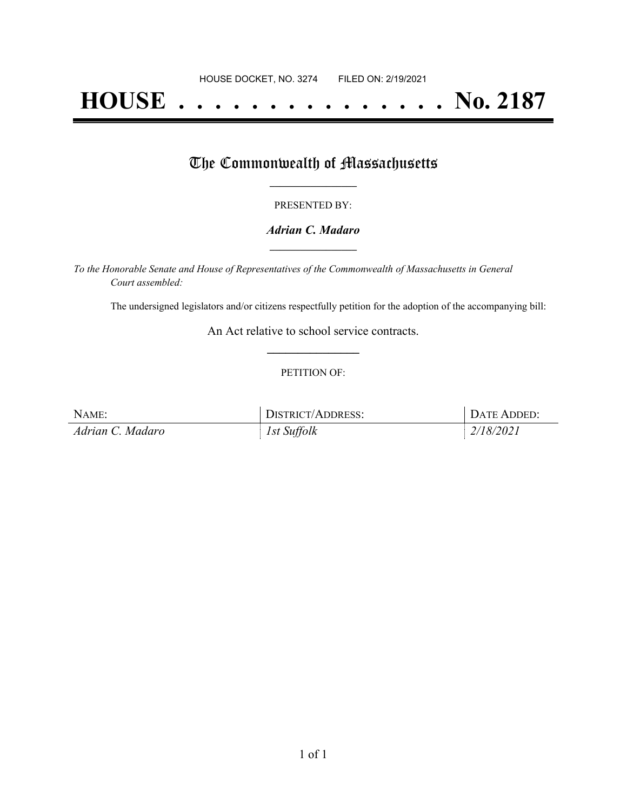# **HOUSE . . . . . . . . . . . . . . . No. 2187**

## The Commonwealth of Massachusetts

#### PRESENTED BY:

#### *Adrian C. Madaro* **\_\_\_\_\_\_\_\_\_\_\_\_\_\_\_\_\_**

*To the Honorable Senate and House of Representatives of the Commonwealth of Massachusetts in General Court assembled:*

The undersigned legislators and/or citizens respectfully petition for the adoption of the accompanying bill:

An Act relative to school service contracts. **\_\_\_\_\_\_\_\_\_\_\_\_\_\_\_**

#### PETITION OF:

| NAME:            | <b>DISTRICT/ADDRESS:</b> | DATE ADDED: |
|------------------|--------------------------|-------------|
| Adrian C. Madaro | 1st Suffolk              | 2/18/2021   |